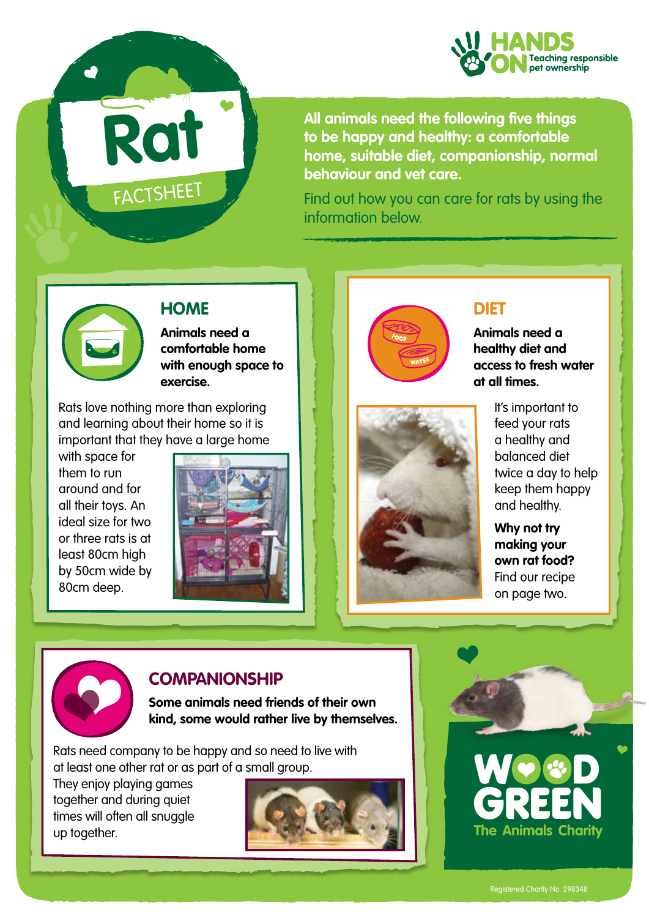

**All animals need the following five things to be happy and healthy: a comfortable home, suitable diet, companionship, normal behaviour and vet care.** 

Find out how you can care for rats by using the information below.



#### **HOME**

FACTSHEET

**Rat**

**Animals need a comfortable home with enough space to exercise.**

Rats love nothing more than exploring and learning about their home so it is important that they have a large home

with space for them to run around and for all their toys. An ideal size for two or three rats is at least 80cm high by 50cm wide by 80cm deep.







### **DIET**

**Animals need a healthy diet and access to fresh water at all times.**

> It's important to feed your rats a healthy and balanced diet twice a day to help keep them happy and healthy.

**Why not try making your own rat food?**  Find our recipe on page two.



## **COMPANIONSHIP**

**Some animals need friends of their own kind, some would rather live by themselves.** 

Rats need company to be happy and so need to live with at least one other rat or as part of a small group.

They enjoy playing games together and during quiet times will often all snuggle up together.